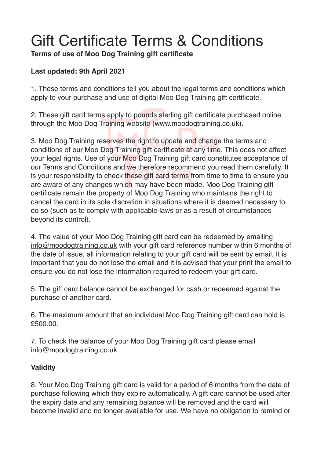# Gift Certificate Terms & Conditions

**Terms of use of Moo Dog Training gift certificate**

## **Last updated: 9th April 2021**

1. These terms and conditions tell you about the legal terms and conditions which apply to your purchase and use of digital Moo Dog Training gift certificate.

2. These gift card terms apply to pounds sterling gift certificate purchased online through the Moo Dog Training website (www.moodogtraining.co.uk).

3. Moo Dog Training reserves the right to update and change the terms and conditions of our Moo Dog Training gift certificate at any time. This does not affect your legal rights. Use of your Moo Dog Training gift card constitutes acceptance of our Terms and Conditions and we therefore recommend you read them carefully. It is your responsibility to check these gift card terms from time to time to ensure you are aware of any changes which may have been made. Moo Dog Training gift certificate remain the property of Moo Dog Training who maintains the right to cancel the card in its sole discretion in situations where it is deemed necessary to do so (such as to comply with applicable laws or as a result of circumstances beyond its control).

4. The value of your Moo Dog Training gift card can be redeemed by emailing [info@moodogtraining.co.uk](mailto:info@moodogtraining.co.uk) with your gift card reference number within 6 months of the date of issue, all information relating to your gift card will be sent by email. It is important that you do not lose the email and it is advised that your print the email to ensure you do not lose the information required to redeem your gift card.

5. The gift card balance cannot be exchanged for cash or redeemed against the purchase of another card.

6. The maximum amount that an individual Moo Dog Training gift card can hold is £500.00.

7. To check the balance of your Moo Dog Training gift card please email info@moodogtraining.co.uk

## **Validity**

8. Your Moo Dog Training gift card is valid for a period of 6 months from the date of purchase following which they expire automatically. A gift card cannot be used after the expiry date and any remaining balance will be removed and the card will become invalid and no longer available for use. We have no obligation to remind or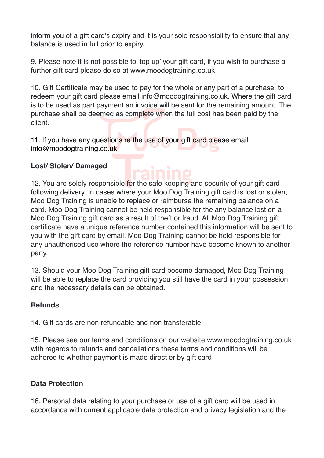inform you of a gift card's expiry and it is your sole responsibility to ensure that any balance is used in full prior to expiry.

9. Please note it is not possible to 'top up' your gift card, if you wish to purchase a further gift card please do so at www.moodogtraining.co.uk

10. Gift Certificate may be used to pay for the whole or any part of a purchase, to redeem your gift card please email info@moodogtraining.co.uk. Where the gift card is to be used as part payment an invoice will be sent for the remaining amount. The purchase shall be deemed as complete when the full cost has been paid by the client.

11. If you have any questions re the use of your gift card please email info@moodogtraining.co.uk

### **Lost/ Stolen/ Damaged**

12. You are solely responsible for the safe keeping and security of your gift card following delivery. In cases where your Moo Dog Training gift card is lost or stolen, Moo Dog Training is unable to replace or reimburse the remaining balance on a card. Moo Dog Training cannot be held responsible for the any balance lost on a Moo Dog Training gift card as a result of theft or fraud. All Moo Dog Training gift certificate have a unique reference number contained this information will be sent to you with the gift card by email. Moo Dog Training cannot be held responsible for any unauthorised use where the reference number have become known to another party.

13. Should your Moo Dog Training gift card become damaged, Moo Dog Training will be able to replace the card providing you still have the card in your possession and the necessary details can be obtained.

#### **Refunds**

14. Gift cards are non refundable and non transferable

15. Please see our terms and conditions on our website [www.moodogtraining.co.uk](http://www.moodogtraining.co.uk) with regards to refunds and cancellations these terms and conditions will be adhered to whether payment is made direct or by gift card

### **Data Protection**

16. Personal data relating to your purchase or use of a gift card will be used in accordance with current applicable data protection and privacy legislation and the